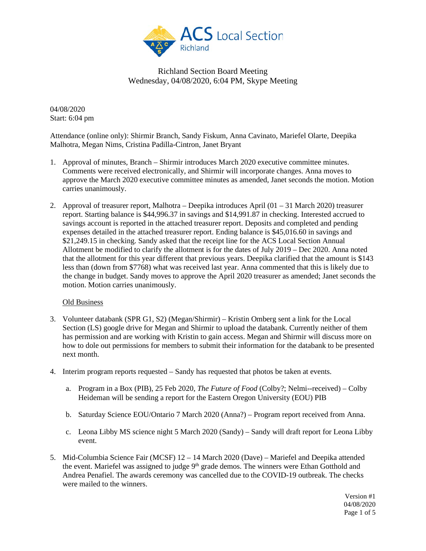

04/08/2020 Start: 6:04 pm

Attendance (online only): Shirmir Branch, Sandy Fiskum, Anna Cavinato, Mariefel Olarte, Deepika Malhotra, Megan Nims, Cristina Padilla-Cintron, Janet Bryant

- 1. Approval of minutes, Branch Shirmir introduces March 2020 executive committee minutes. Comments were received electronically, and Shirmir will incorporate changes. Anna moves to approve the March 2020 executive committee minutes as amended, Janet seconds the motion. Motion carries unanimously.
- 2. Approval of treasurer report, Malhotra Deepika introduces April  $(01 31)$  March 2020) treasurer report. Starting balance is \$44,996.37 in savings and \$14,991.87 in checking. Interested accrued to savings account is reported in the attached treasurer report. Deposits and completed and pending expenses detailed in the attached treasurer report. Ending balance is \$45,016.60 in savings and \$21,249.15 in checking. Sandy asked that the receipt line for the ACS Local Section Annual Allotment be modified to clarify the allotment is for the dates of July 2019 – Dec 2020. Anna noted that the allotment for this year different that previous years. Deepika clarified that the amount is \$143 less than (down from \$7768) what was received last year. Anna commented that this is likely due to the change in budget. Sandy moves to approve the April 2020 treasurer as amended; Janet seconds the motion. Motion carries unanimously.

## Old Business

- 3. Volunteer databank (SPR G1, S2) (Megan/Shirmir) Kristin Omberg sent a link for the Local Section (LS) google drive for Megan and Shirmir to upload the databank. Currently neither of them has permission and are working with Kristin to gain access. Megan and Shirmir will discuss more on how to dole out permissions for members to submit their information for the databank to be presented next month.
- 4. Interim program reports requested Sandy has requested that photos be taken at events.
	- a. Program in a Box (PIB), 25 Feb 2020, *The Future of Food* (Colby?; Nelmi--received) Colby Heideman will be sending a report for the Eastern Oregon University (EOU) PIB
	- b. Saturday Science EOU/Ontario 7 March 2020 (Anna?) Program report received from Anna.
	- c. Leona Libby MS science night 5 March 2020 (Sandy) Sandy will draft report for Leona Libby event.
- 5. Mid-Columbia Science Fair (MCSF) 12 14 March 2020 (Dave) Mariefel and Deepika attended the event. Mariefel was assigned to judge 9<sup>th</sup> grade demos. The winners were Ethan Gotthold and Andrea Penafiel. The awards ceremony was cancelled due to the COVID-19 outbreak. The checks were mailed to the winners.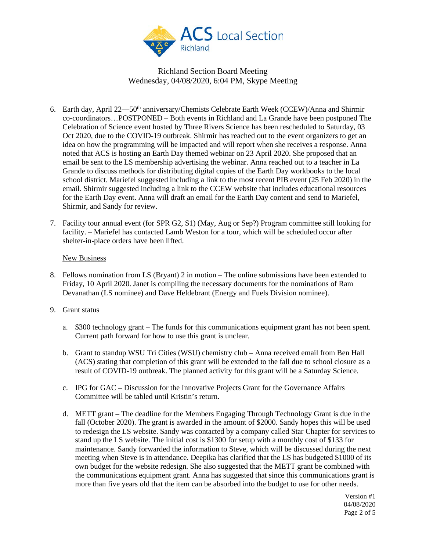

- 6. Earth day, April 22—50<sup>th</sup> anniversary/Chemists Celebrate Earth Week (CCEW)/Anna and Shirmir co-coordinators…POSTPONED – Both events in Richland and La Grande have been postponed The Celebration of Science event hosted by Three Rivers Science has been rescheduled to Saturday, 03 Oct 2020, due to the COVID-19 outbreak. Shirmir has reached out to the event organizers to get an idea on how the programming will be impacted and will report when she receives a response. Anna noted that ACS is hosting an Earth Day themed webinar on 23 April 2020. She proposed that an email be sent to the LS membership advertising the webinar. Anna reached out to a teacher in La Grande to discuss methods for distributing digital copies of the Earth Day workbooks to the local school district. Mariefel suggested including a link to the most recent PIB event (25 Feb 2020) in the email. Shirmir suggested including a link to the CCEW website that includes educational resources for the Earth Day event. Anna will draft an email for the Earth Day content and send to Mariefel, Shirmir, and Sandy for review.
- 7. Facility tour annual event (for SPR G2, S1) (May, Aug or Sep?) Program committee still looking for facility. – Mariefel has contacted Lamb Weston for a tour, which will be scheduled occur after shelter-in-place orders have been lifted.

## New Business

- 8. Fellows nomination from LS (Bryant) 2 in motion The online submissions have been extended to Friday, 10 April 2020. Janet is compiling the necessary documents for the nominations of Ram Devanathan (LS nominee) and Dave Heldebrant (Energy and Fuels Division nominee).
- 9. Grant status
	- a. \$300 technology grant The funds for this communications equipment grant has not been spent. Current path forward for how to use this grant is unclear.
	- b. Grant to standup WSU Tri Cities (WSU) chemistry club Anna received email from Ben Hall (ACS) stating that completion of this grant will be extended to the fall due to school closure as a result of COVID-19 outbreak. The planned activity for this grant will be a Saturday Science.
	- c. IPG for GAC Discussion for the Innovative Projects Grant for the Governance Affairs Committee will be tabled until Kristin's return.
	- d. METT grant The deadline for the Members Engaging Through Technology Grant is due in the fall (October 2020). The grant is awarded in the amount of \$2000. Sandy hopes this will be used to redesign the LS website. Sandy was contacted by a company called Star Chapter for services to stand up the LS website. The initial cost is \$1300 for setup with a monthly cost of \$133 for maintenance. Sandy forwarded the information to Steve, which will be discussed during the next meeting when Steve is in attendance. Deepika has clarified that the LS has budgeted \$1000 of its own budget for the website redesign. She also suggested that the METT grant be combined with the communications equipment grant. Anna has suggested that since this communications grant is more than five years old that the item can be absorbed into the budget to use for other needs.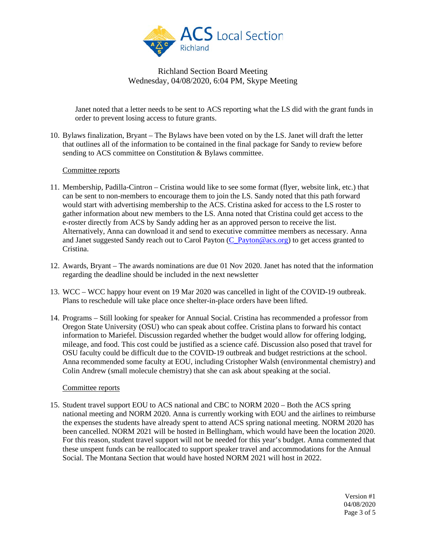

Janet noted that a letter needs to be sent to ACS reporting what the LS did with the grant funds in order to prevent losing access to future grants.

10. Bylaws finalization, Bryant – The Bylaws have been voted on by the LS. Janet will draft the letter that outlines all of the information to be contained in the final package for Sandy to review before sending to ACS committee on Constitution & Bylaws committee.

## Committee reports

- 11. Membership, Padilla-Cintron Cristina would like to see some format (flyer, website link, etc.) that can be sent to non-members to encourage them to join the LS. Sandy noted that this path forward would start with advertising membership to the ACS. Cristina asked for access to the LS roster to gather information about new members to the LS. Anna noted that Cristina could get access to the e-roster directly from ACS by Sandy adding her as an approved person to receive the list. Alternatively, Anna can download it and send to executive committee members as necessary. Anna and Janet suggested Sandy reach out to Carol Payton [\(C\\_Payton@acs.org\)](mailto:C_Payton@acs.org) to get access granted to Cristina.
- 12. Awards, Bryant The awards nominations are due 01 Nov 2020. Janet has noted that the information regarding the deadline should be included in the next newsletter
- 13. WCC WCC happy hour event on 19 Mar 2020 was cancelled in light of the COVID-19 outbreak. Plans to reschedule will take place once shelter-in-place orders have been lifted.
- 14. Programs Still looking for speaker for Annual Social. Cristina has recommended a professor from Oregon State University (OSU) who can speak about coffee. Cristina plans to forward his contact information to Mariefel. Discussion regarded whether the budget would allow for offering lodging, mileage, and food. This cost could be justified as a science café. Discussion also posed that travel for OSU faculty could be difficult due to the COVID-19 outbreak and budget restrictions at the school. Anna recommended some faculty at EOU, including Cristopher Walsh (environmental chemistry) and Colin Andrew (small molecule chemistry) that she can ask about speaking at the social.

## Committee reports

15. Student travel support EOU to ACS national and CBC to NORM 2020 – Both the ACS spring national meeting and NORM 2020. Anna is currently working with EOU and the airlines to reimburse the expenses the students have already spent to attend ACS spring national meeting. NORM 2020 has been cancelled. NORM 2021 will be hosted in Bellingham, which would have been the location 2020. For this reason, student travel support will not be needed for this year's budget. Anna commented that these unspent funds can be reallocated to support speaker travel and accommodations for the Annual Social. The Montana Section that would have hosted NORM 2021 will host in 2022.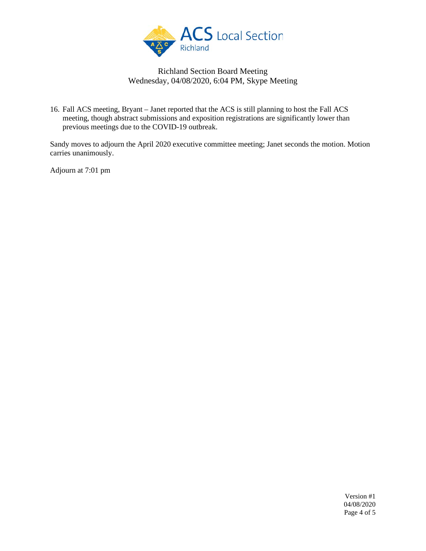

16. Fall ACS meeting, Bryant – Janet reported that the ACS is still planning to host the Fall ACS meeting, though abstract submissions and exposition registrations are significantly lower than previous meetings due to the COVID-19 outbreak.

Sandy moves to adjourn the April 2020 executive committee meeting; Janet seconds the motion. Motion carries unanimously.

Adjourn at 7:01 pm

Version #1 04/08/2020 Page 4 of 5